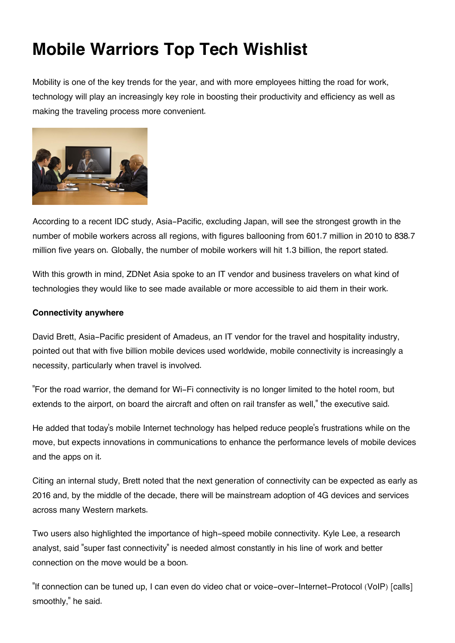# **Mobile Warriors Top Tech Wishlist**

Mobility is one of the key trends for the year, and with more employees hitting the road for work, technology will play an increasingly key role in boosting their productivity and efficiency as well as making the traveling process more convenient.



According to a recent IDC study, Asia-Pacific, excluding Japan, will see the strongest growth in the number of mobile workers across all regions, with figures ballooning from 601.7 million in 2010 to 838.7 million five years on. Globally, the number of mobile workers will hit 1.3 billion, the report stated.

With this growth in mind, ZDNet Asia spoke to an IT vendor and business travelers on what kind of technologies they would like to see made available or more accessible to aid them in their work.

## **Connectivity anywhere**

David Brett, Asia-Pacific president of Amadeus, an IT vendor for the travel and hospitality industry, pointed out that with five billion mobile devices used worldwide, mobile connectivity is increasingly a necessity, particularly when travel is involved.

"For the road warrior, the demand for Wi-Fi connectivity is no longer limited to the hotel room, but extends to the airport, on board the aircraft and often on rail transfer as well," the executive said.

He added that today's mobile Internet technology has helped reduce people's frustrations while on the move, but expects innovations in communications to enhance the performance levels of mobile devices and the apps on it.

Citing an internal study, Brett noted that the next generation of connectivity can be expected as early as 2016 and, by the middle of the decade, there will be mainstream adoption of 4G devices and services across many Western markets.

Two users also highlighted the importance of high-speed mobile connectivity. Kyle Lee, a research analyst, said "super fast connectivity" is needed almost constantly in his line of work and better connection on the move would be a boon.

"If connection can be tuned up, I can even do video chat or voice-over-Internet-Protocol (VoIP) [calls] smoothly," he said.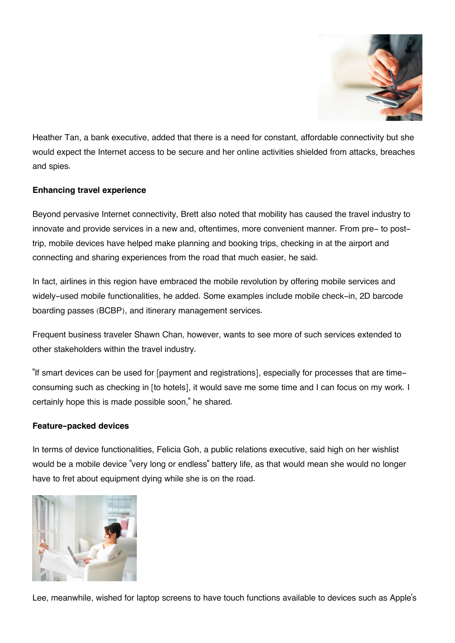

Heather Tan, a bank executive, added that there is a need for constant, affordable connectivity but she would expect the Internet access to be secure and her online activities shielded from attacks, breaches and spies.

# **Enhancing travel experience**

Beyond pervasive Internet connectivity, Brett also noted that mobility has caused the travel industry to innovate and provide services in a new and, oftentimes, more convenient manner. From pre- to posttrip, mobile devices have helped make planning and booking trips, checking in at the airport and connecting and sharing experiences from the road that much easier, he said.

In fact, airlines in this region have embraced the mobile revolution by offering mobile services and widely-used mobile functionalities, he added. Some examples include mobile check-in, 2D barcode boarding passes (BCBP), and itinerary management services.

Frequent business traveler Shawn Chan, however, wants to see more of such services extended to other stakeholders within the travel industry.

"If smart devices can be used for [payment and registrations], especially for processes that are timeconsuming such as checking in [to hotels], it would save me some time and I can focus on my work. I certainly hope this is made possible soon," he shared.

#### **Feature-packed devices**

In terms of device functionalities, Felicia Goh, a public relations executive, said high on her wishlist would be a mobile device "very long or endless" battery life, as that would mean she would no longer have to fret about equipment dying while she is on the road.



Lee, meanwhile, wished for laptop screens to have touch functions available to devices such as Apple's